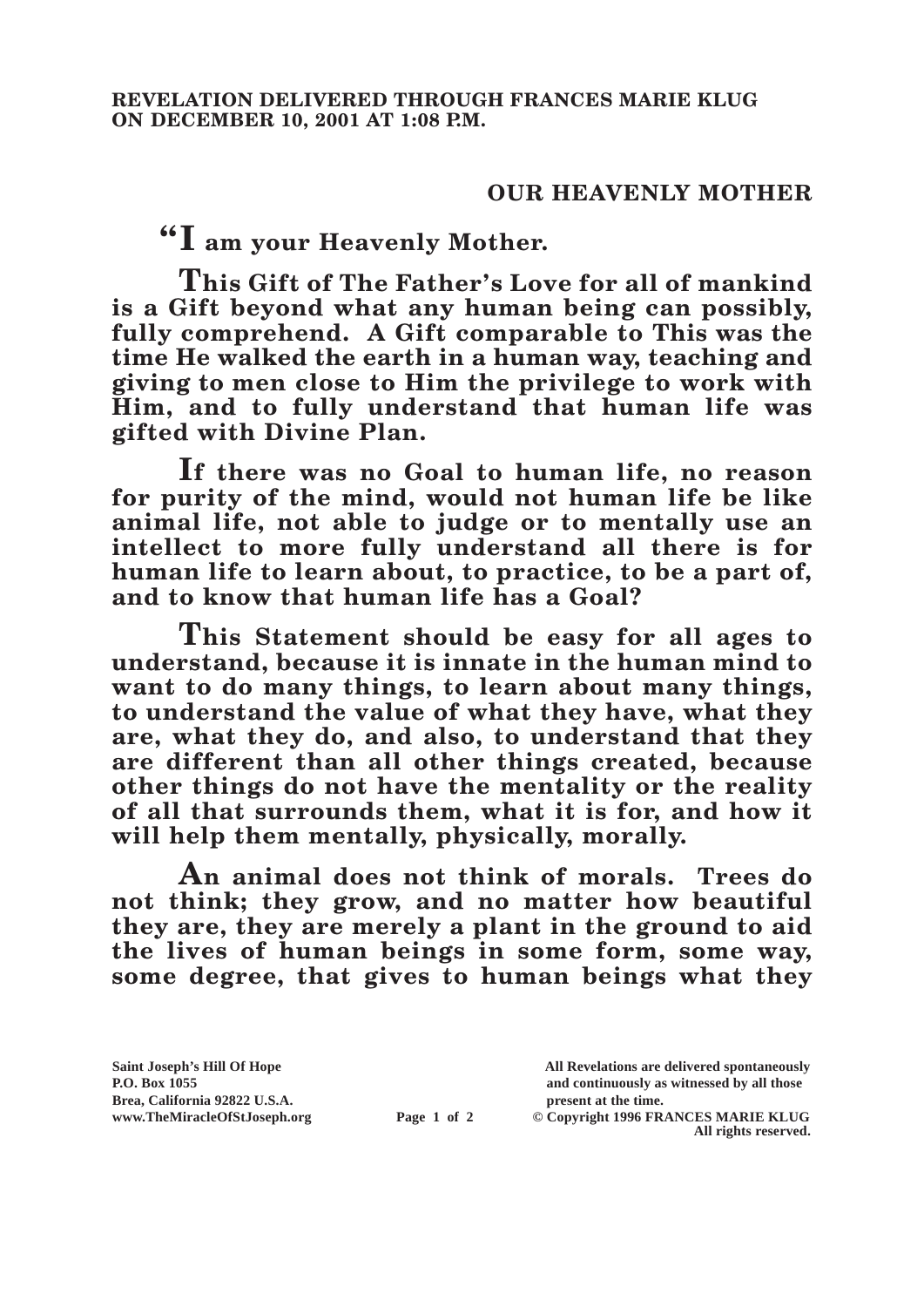## **OUR HEAVENLY MOTHER**

**"I am your Heavenly Mother.**

**This Gift of The Father's Love for all of mankind is a Gift beyond what any human being can possibly, fully comprehend. A Gift comparable to This was the time He walked the earth in a human way, teaching and giving to men close to Him the privilege to work with Him, and to fully understand that human life was gifted with Divine Plan.**

**If there was no Goal to human life, no reason for purity of the mind, would not human life be like animal life, not able to judge or to mentally use an intellect to more fully understand all there is for human life to learn about, to practice, to be a part of, and to know that human life has a Goal?**

**This Statement should be easy for all ages to understand, because it is innate in the human mind to want to do many things, to learn about many things, to understand the value of what they have, what they are, what they do, and also, to understand that they are different than all other things created, because other things do not have the mentality or the reality of all that surrounds them, what it is for, and how it will help them mentally, physically, morally.**

**An animal does not think of morals. Trees do not think; they grow, and no matter how beautiful they are, they are merely a plant in the ground to aid the lives of human beings in some form, some way, some degree, that gives to human beings what they** 

**Brea, California 92822 U.S.A. present at the time.**

**Saint Joseph's Hill Of Hope All Revelations are delivered spontaneously P.O. Box 1055 and continuously as witnessed by all those** 

**www.TheMiracleOfStJoseph.org Page 1 of 2 © Copyright 1996 FRANCES MARIE KLUG All rights reserved.**